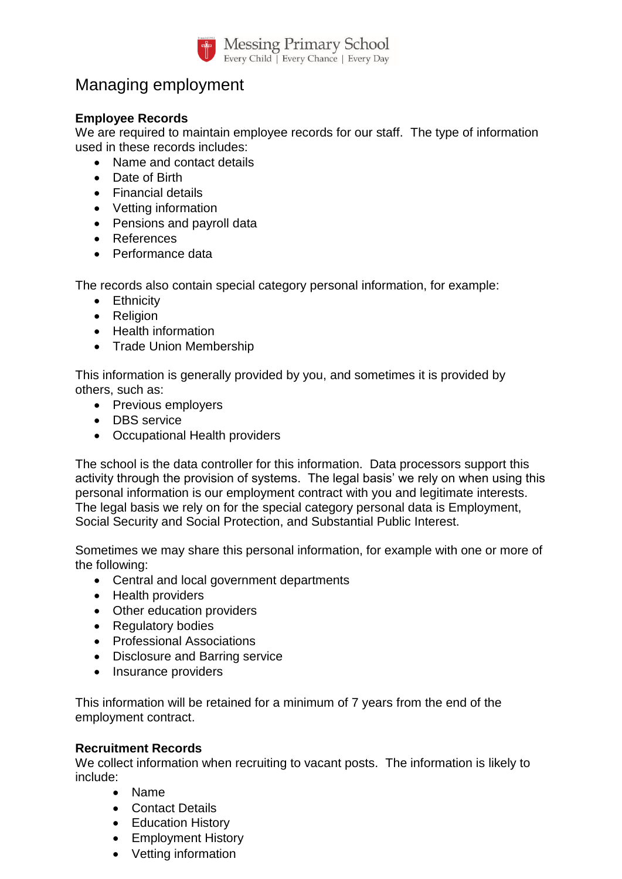

## Managing employment

## **Employee Records**

We are required to maintain employee records for our staff. The type of information used in these records includes:

- Name and contact details
- Date of Birth
- Financial details
- Vetting information
- Pensions and payroll data
- References
- Performance data

The records also contain special category personal information, for example:

- Ethnicity
- Religion
- Health information
- Trade Union Membership

This information is generally provided by you, and sometimes it is provided by others, such as:

- Previous employers
- DBS service
- Occupational Health providers

The school is the data controller for this information. Data processors support this activity through the provision of systems. The legal basis' we rely on when using this personal information is our employment contract with you and legitimate interests. The legal basis we rely on for the special category personal data is Employment, Social Security and Social Protection, and Substantial Public Interest.

Sometimes we may share this personal information, for example with one or more of the following:

- Central and local government departments
- Health providers
- Other education providers
- Regulatory bodies
- Professional Associations
- Disclosure and Barring service
- Insurance providers

This information will be retained for a minimum of 7 years from the end of the employment contract.

## **Recruitment Records**

We collect information when recruiting to vacant posts. The information is likely to include:

- Name
- Contact Details
- Education History
- Employment History
- Vetting information